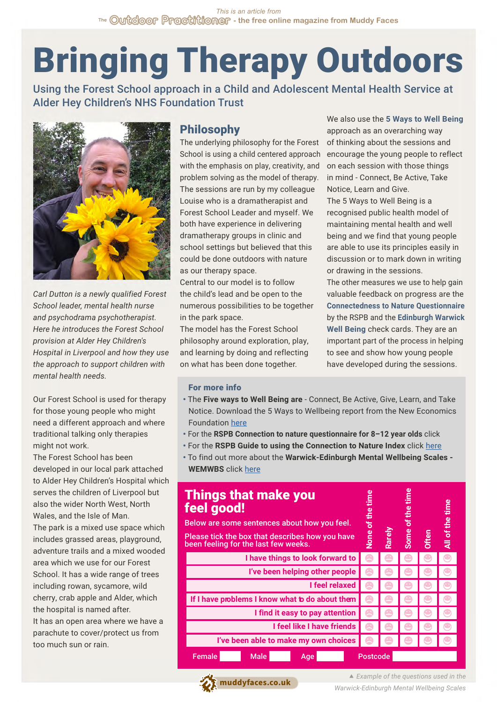# Bringing Therapy Outdoors

Using the Forest School approach in a Child and Adolescent Mental Health Service at Alder Hey Children's NHS Foundation Trust



*Carl Dutton is a newly qualified Forest School leader, mental health nurse and psychodrama psychotherapist. Here he introduces the Forest School provision at Alder Hey Children's Hospital in Liverpool and how they use the approach to support children with mental health needs.* 

Our Forest School is used for therapy for those young people who might need a different approach and where traditional talking only therapies might not work.

The Forest School has been developed in our local park attached to Alder Hey Children's Hospital which serves the children of Liverpool but also the wider North West, North Wales, and the Isle of Man.

The park is a mixed use space which includes grassed areas, playground, adventure trails and a mixed wooded area which we use for our Forest School. It has a wide range of trees including rowan, sycamore, wild cherry, crab apple and Alder, which the hospital is named after.

It has an open area where we have a parachute to cover/protect us from too much sun or rain.

## Philosophy

The underlying philosophy for the Forest School is using a child centered approach with the emphasis on play, creativity, and problem solving as the model of therapy. The sessions are run by my colleague Louise who is a dramatherapist and Forest School Leader and myself. We both have experience in delivering dramatherapy groups in clinic and school settings but believed that this could be done outdoors with nature as our therapy space.

Central to our model is to follow the child's lead and be open to the numerous possibilities to be together in the park space.

The model has the Forest School philosophy around exploration, play, and learning by doing and reflecting on what has been done together.

We also use the **5 Ways to Well Being** approach as an overarching way of thinking about the sessions and encourage the young people to reflect on each session with those things in mind - Connect, Be Active, Take Notice, Learn and Give.

The 5 Ways to Well Being is a recognised public health model of maintaining mental health and well being and we find that young people are able to use its principles easily in discussion or to mark down in writing or drawing in the sessions.

The other measures we use to help gain valuable feedback on progress are the **Connectedness to Nature Questionnaire** by the RSPB and the **Edinburgh Warwick Well Being** check cards. They are an important part of the process in helping to see and show how young people have developed during the sessions.

#### For more info

- The **Five ways to Well Being are** Connect, Be Active, Give, Learn, and Take Notice. Download the 5 Ways to Wellbeing report from the New Economics Foundation [here](https://neweconomics.org/2008/10/five-ways-to-wellbeing)
- For the **RSPB Connection to nature questionnaire for 8–12 year olds** click
- For the **RSPB Guide to using the Connection to Nature Index** click [here](https://www.rspb.org.uk/globalassets/downloads/documents/positions/education/guide-to-using-the-connection-to-nature-index.pdf)
- To find out more about the **Warwick-Edinburgh Mental Wellbeing Scales - WEMWBS** click [here](https://warwick.ac.uk/fac/sci/med/research/platform/wemwbs/)

| <b>Things that make you</b><br>feel good!<br>Below are some sentences about how you feel.<br>Please tick the box that describes how you have<br>been feeling for the last few weeks. |             |     |  | None of the tim | Rarely | Some of | <b>Often</b> | All of the time |
|--------------------------------------------------------------------------------------------------------------------------------------------------------------------------------------|-------------|-----|--|-----------------|--------|---------|--------------|-----------------|
| I have things to look forward to                                                                                                                                                     |             |     |  |                 |        |         |              |                 |
| I've been helping other people                                                                                                                                                       |             |     |  |                 |        |         |              |                 |
| I feel relaxed                                                                                                                                                                       |             |     |  |                 |        |         |              |                 |
| If I have problems I know what <b>b</b> do about them                                                                                                                                |             |     |  |                 |        |         |              |                 |
| I find it easy to pay attention                                                                                                                                                      |             |     |  |                 |        |         |              |                 |
| I feel like I have friends                                                                                                                                                           |             |     |  |                 |        |         |              |                 |
| I've been able to make my own choices                                                                                                                                                |             |     |  |                 |        |         |              |                 |
| Female                                                                                                                                                                               | <b>Male</b> | Age |  | <b>Postcode</b> |        |         |              |                 |

*M* [muddyfaces.co.uk](https://muddyfaces.co.uk)

 *Example of the questions used in the Warwick-Edinburgh Mental Wellbeing Scales*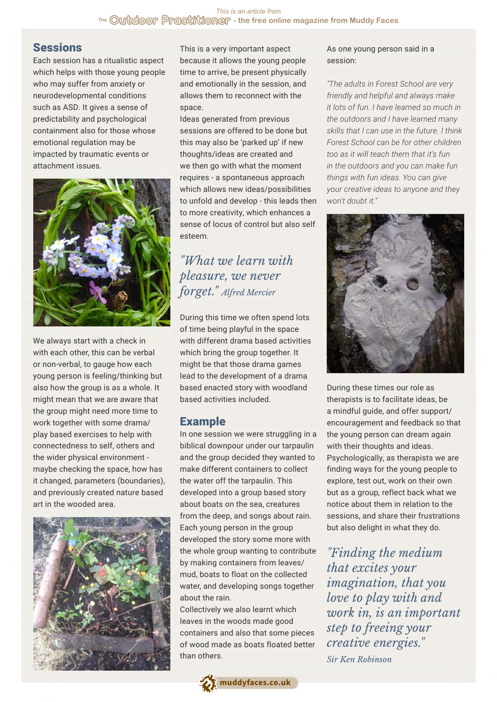## **Sessions**

Each session has a ritualistic aspect which helps with those young people who may suffer from anxiety or neurodevelopmental conditions such as ASD. It gives a sense of predictability and psychological containment also for those whose emotional regulation may be impacted by traumatic events or attachment issues.



We always start with a check in with each other, this can be verbal or non-verbal, to gauge how each young person is feeling/thinking but also how the group is as a whole. It might mean that we are aware that the group might need more time to work together with some drama/ play based exercises to help with connectedness to self, others and the wider physical environment maybe checking the space, how has it changed, parameters (boundaries), and previously created nature based art in the wooded area.



This is a very important aspect because it allows the young people time to arrive, be present physically and emotionally in the session, and allows them to reconnect with the space.

Ideas generated from previous sessions are offered to be done but this may also be 'parked up' if new thoughts/ideas are created and we then go with what the moment requires - a spontaneous approach which allows new ideas/possibilities to unfold and develop - this leads then to more creativity, which enhances a sense of locus of control but also self esteem.

# *"What we learn with pleasure, we never forget." Alfred Mercier*

During this time we often spend lots of time being playful in the space with different drama based activities which bring the group together. It might be that those drama games lead to the development of a drama based enacted story with woodland based activities included.

## Example

In one session we were struggling in a biblical downpour under our tarpaulin and the group decided they wanted to make different containers to collect the water off the tarpaulin. This developed into a group based story about boats on the sea, creatures from the deep, and songs about rain. Each young person in the group developed the story some more with the whole group wanting to contribute by making containers from leaves/ mud, boats to float on the collected water, and developing songs together about the rain.

Collectively we also learnt which leaves in the woods made good containers and also that some pieces of wood made as boats floated better than others.



As one young person said in a session:

*"The adults in Forest School are very friendly and helpful and always make it lots of fun. I have learned so much in the outdoors and I have learned many skills that I can use in the future. I think Forest School can be for other children too as it will teach them that it's fun in the outdoors and you can make fun things with fun ideas. You can give your creative ideas to anyone and they won't doubt it."*



During these times our role as therapists is to facilitate ideas, be a mindful guide, and offer support/ encouragement and feedback so that the young person can dream again with their thoughts and ideas. Psychologically, as therapists we are finding ways for the young people to explore, test out, work on their own but as a group, reflect back what we notice about them in relation to the sessions, and share their frustrations but also delight in what they do.

*"Finding the medium that excites your imagination, that you love to play with and work in, is an important step to freeing your creative energies." Sir Ken Robinson*